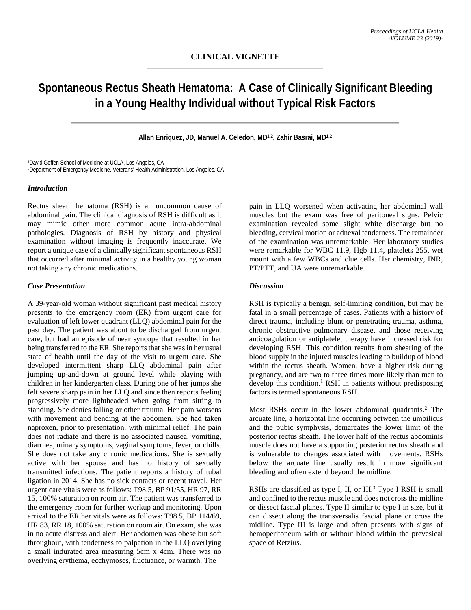# **Spontaneous Rectus Sheath Hematoma: A Case of Clinically Significant Bleeding in a Young Healthy Individual without Typical Risk Factors**

**Allan Enriquez, JD, Manuel A. Celedon, MD1,2, Zahir Basrai, MD1,2**

1David Geffen School of Medicine at UCLA, Los Angeles, CA 2Department of Emergency Medicine, Veterans' Health Administration, Los Angeles, CA

### *Introduction*

Rectus sheath hematoma (RSH) is an uncommon cause of abdominal pain. The clinical diagnosis of RSH is difficult as it may mimic other more common acute intra-abdominal pathologies. Diagnosis of RSH by history and physical examination without imaging is frequently inaccurate. We report a unique case of a clinically significant spontaneous RSH that occurred after minimal activity in a healthy young woman not taking any chronic medications.

### *Case Presentation*

A 39-year-old woman without significant past medical history presents to the emergency room (ER) from urgent care for evaluation of left lower quadrant (LLQ) abdominal pain for the past day. The patient was about to be discharged from urgent care, but had an episode of near syncope that resulted in her being transferred to the ER. She reports that she was in her usual state of health until the day of the visit to urgent care. She developed intermittent sharp LLQ abdominal pain after jumping up-and-down at ground level while playing with children in her kindergarten class. During one of her jumps she felt severe sharp pain in her LLQ and since then reports feeling progressively more lightheaded when going from sitting to standing. She denies falling or other trauma. Her pain worsens with movement and bending at the abdomen. She had taken naproxen, prior to presentation, with minimal relief. The pain does not radiate and there is no associated nausea, vomiting, diarrhea, urinary symptoms, vaginal symptoms, fever, or chills. She does not take any chronic medications. She is sexually active with her spouse and has no history of sexually transmitted infections. The patient reports a history of tubal ligation in 2014. She has no sick contacts or recent travel. Her urgent care vitals were as follows: T98.5, BP 91/55, HR 97, RR 15, 100% saturation on room air. The patient was transferred to the emergency room for further workup and monitoring. Upon arrival to the ER her vitals were as follows: T98.5, BP 114/69, HR 83, RR 18, 100% saturation on room air. On exam, she was in no acute distress and alert. Her abdomen was obese but soft throughout, with tenderness to palpation in the LLQ overlying a small indurated area measuring 5cm x 4cm. There was no overlying erythema, ecchymoses, fluctuance, or warmth. The

pain in LLQ worsened when activating her abdominal wall muscles but the exam was free of peritoneal signs. Pelvic examination revealed some slight white discharge but no bleeding, cervical motion or adnexal tenderness. The remainder of the examination was unremarkable. Her laboratory studies were remarkable for WBC 11.9, Hgb 11.4, platelets 255, wet mount with a few WBCs and clue cells. Her chemistry, INR, PT/PTT, and UA were unremarkable.

## *Discussion*

RSH is typically a benign, self-limiting condition, but may be fatal in a small percentage of cases. Patients with a history of direct trauma, including blunt or penetrating trauma, asthma, chronic obstructive pulmonary disease, and those receiving anticoagulation or antiplatelet therapy have increased risk for developing RSH. This condition results from shearing of the blood supply in the injured muscles leading to buildup of blood within the rectus sheath. Women, have a higher risk during pregnancy, and are two to three times more likely than men to develop this condition.<sup>1</sup> RSH in patients without predisposing factors is termed spontaneous RSH.

Most RSHs occur in the lower abdominal quadrants.<sup>2</sup> The arcuate line, a horizontal line occurring between the umbilicus and the pubic symphysis, demarcates the lower limit of the posterior rectus sheath. The lower half of the rectus abdominis muscle does not have a supporting posterior rectus sheath and is vulnerable to changes associated with movements. RSHs below the arcuate line usually result in more significant bleeding and often extend beyond the midline.

RSHs are classified as type I, II, or III.<sup>3</sup> Type I RSH is small and confined to the rectus muscle and does not cross the midline or dissect fascial planes. Type II similar to type I in size, but it can dissect along the transversalis fascial plane or cross the midline. Type III is large and often presents with signs of hemoperitoneum with or without blood within the prevesical space of Retzius.